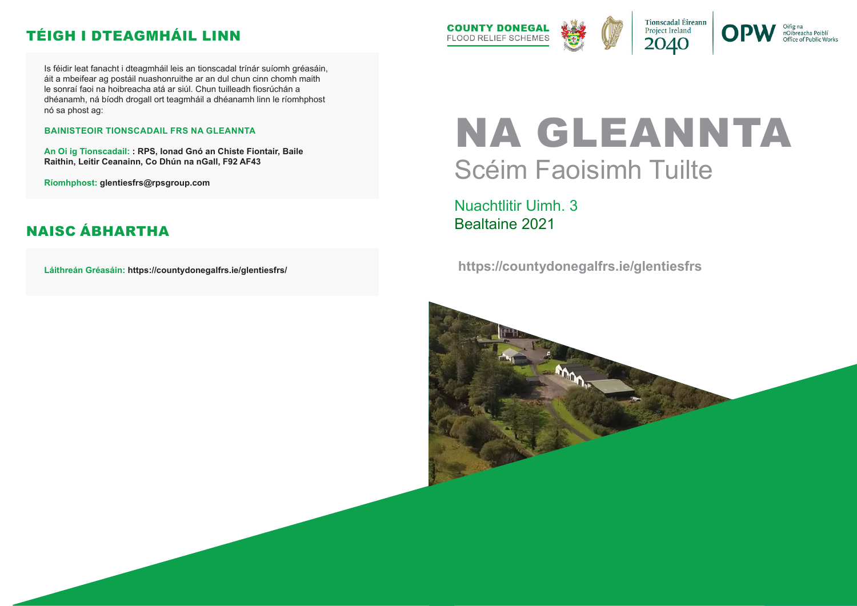# NA GLEANNTA Scéim Faoisimh Tuilte

Nuachtlitir Uimh. 3 Bealtaine 2021

 **https://countydonegalfrs.ie/glentiesfrs**





nOibreacha Poiblí Office of Public Works

Is féidir leat fanacht i dteagmháil leis an tionscadal trínár suíomh gréasáin, áit a mbeifear ag postáil nuashonruithe ar an dul chun cinn chomh maith le sonraí faoi na hoibreacha atá ar siúl. Chun tuilleadh fiosrúchán a dhéanamh, ná bíodh drogall ort teagmháil a dhéanamh linn le ríomhphost nó sa phost ag:

#### **BAINISTEOIR TIONSCADAIL FRS NA GLEANNTA**

**An Oi ig Tionscadail: : RPS, Ionad Gnó an Chiste Fiontair, Baile Raithin, Leitir Ceanainn, Co Dhún na nGall, F92 AF43**

**Ríomhphost: glentiesfrs@rpsgroup.com**

**Láithreán Gréasáin: https://countydonegalfrs.ie/glentiesfrs/**



### TÉIGH I DTEAGMHÁIL LINN

#### NAISC ÁBHARTHA